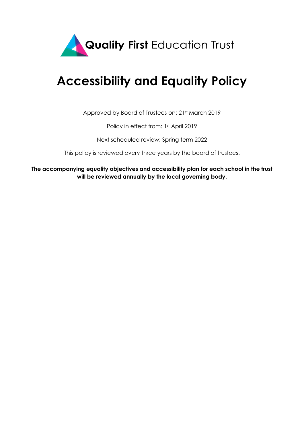

# **Accessibility and Equality Policy**

Approved by Board of Trustees on: 21st March 2019

Policy in effect from: 1st April 2019

Next scheduled review: Spring term 2022

This policy is reviewed every three years by the board of trustees.

**The accompanying equality objectives and accessibility plan for each school in the trust will be reviewed annually by the local governing body.**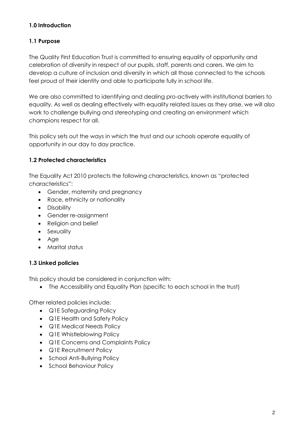## **1.0 Introduction**

# **1.1 Purpose**

The Quality First Education Trust is committed to ensuring equality of opportunity and celebration of diversity in respect of our pupils, staff, parents and carers. We aim to develop a culture of inclusion and diversity in which all those connected to the schools feel proud of their identity and able to participate fully in school life.

We are also committed to identifying and dealing pro-actively with institutional barriers to equality. As well as dealing effectively with equality related issues as they arise, we will also work to challenge bullying and stereotyping and creating an environment which champions respect for all.

This policy sets out the ways in which the trust and our schools operate equality of opportunity in our day to day practice.

## **1.2 Protected characteristics**

The Equality Act 2010 protects the following characteristics, known as "protected characteristics":

- Gender, maternity and pregnancy
- Race, ethnicity or nationality
- Disability
- Gender re-assignment
- Religion and belief
- Sexuality
- Age
- Marital status

# **1.3 Linked policies**

This policy should be considered in conjunction with:

• The Accessibility and Equality Plan (specific to each school in the trust)

Other related policies include:

- Q1E Safeguarding Policy
- Q1E Health and Safety Policy
- Q1E Medical Needs Policy
- Q1E Whistleblowing Policy
- Q1E Concerns and Complaints Policy
- Q1E Recruitment Policy
- School Anti-Bullying Policy
- School Behaviour Policy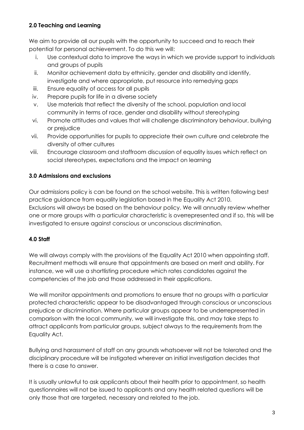## **2.0 Teaching and Learning**

We aim to provide all our pupils with the opportunity to succeed and to reach their potential for personal achievement. To do this we will:

- i. Use contextual data to improve the ways in which we provide support to individuals and groups of pupils
- ii. Monitor achievement data by ethnicity, gender and disability and identify, investigate and where appropriate, put resource into remedying gaps
- iii. Ensure equality of access for all pupils
- iv. Prepare pupils for life in a diverse society
- v. Use materials that reflect the diversity of the school, population and local community in terms of race, gender and disability without stereotyping
- vi. Promote attitudes and values that will challenge discriminatory behaviour, bullying or prejudice
- vii. Provide opportunities for pupils to appreciate their own culture and celebrate the diversity of other cultures
- viii. Encourage classroom and staffroom discussion of equality issues which reflect on social stereotypes, expectations and the impact on learning

# **3.0 Admissions and exclusions**

Our admissions policy is can be found on the school website. This is written following best practice guidance from equality legislation based in the Equality Act 2010. Exclusions will always be based on the behaviour policy. We will annually review whether one or more groups with a particular characteristic is overrepresented and if so, this will be investigated to ensure against conscious or unconscious discrimination.

#### **4.0 Staff**

We will always comply with the provisions of the Equality Act 2010 when appointing staff. Recruitment methods will ensure that appointments are based on merit and ability. For instance, we will use a shortlisting procedure which rates candidates against the competencies of the job and those addressed in their applications.

We will monitor appointments and promotions to ensure that no groups with a particular protected characteristic appear to be disadvantaged through conscious or unconscious prejudice or discrimination. Where particular groups appear to be underrepresented in comparison with the local community, we will investigate this, and may take steps to attract applicants from particular groups, subject always to the requirements from the Equality Act.

Bullying and harassment of staff on any grounds whatsoever will not be tolerated and the disciplinary procedure will be instigated wherever an initial investigation decides that there is a case to answer.

It is usually unlawful to ask applicants about their health prior to appointment, so health questionnaires will not be issued to applicants and any health related questions will be only those that are targeted, necessary and related to the job.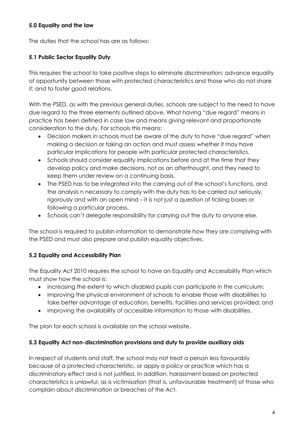## **5.0 Equality and the law**

The duties that the school has are as follows:

## **5.1 Public Sector Equality Duty**

This requires the school to take positive steps to eliminate discrimination; advance equality of opportunity between those with protected characteristics and those who do not share it; and to foster good relations.

With the PSED, as with the previous general duties, schools are subject to the need to have due regard to the three elements outlined above. What having "due regard" means in practice has been defined in case law and means giving relevant and proportionate consideration to the duty. For schools this means:

- Decision makers in schools must be aware of the duty to have "due regard" when making a decision or taking an action and must assess whether it may have particular implications for people with particular protected characteristics.
- Schools should consider equality implications before and at the time that they develop policy and make decisions, not as an afterthought, and they need to keep them under review on a continuing basis.
- The PSED has to be integrated into the carrying out of the school's functions, and the analysis n necessary to comply with the duty has to be carried out seriously, rigorously and with an open mind – it is not just a question of ticking boxes or following a particular process.
- Schools can't delegate responsibility for carrying out the duty to anyone else.

The school is required to publish information to demonstrate how they are complying with the PSED and must also prepare and publish equality objectives.

#### **5.2 Equality and Accessibility Plan**

The Equality Act 2010 requires the school to have an Equality and Accessibility Plan which must show how the school is:

- increasing the extent to which disabled pupils can participate in the curriculum;
- improving the physical environment of schools to enable those with disabilities to take better advantage of education, benefits, facilities and services provided; and
- improving the availability of accessible information to those with disabilities.

The plan for each school is available on the school website.

#### **5.3 Equality Act non-discrimination provisions and duty to provide auxiliary aids**

In respect of students and staff, the school may not treat a person less favourably because of a protected characteristic, or apply a policy or practice which has a discriminatory effect and is not justified. In addition, harassment based on protected characteristics is unlawful, as is victimisation (that is, unfavourable treatment) of those who complain about discrimination or breaches of the Act.